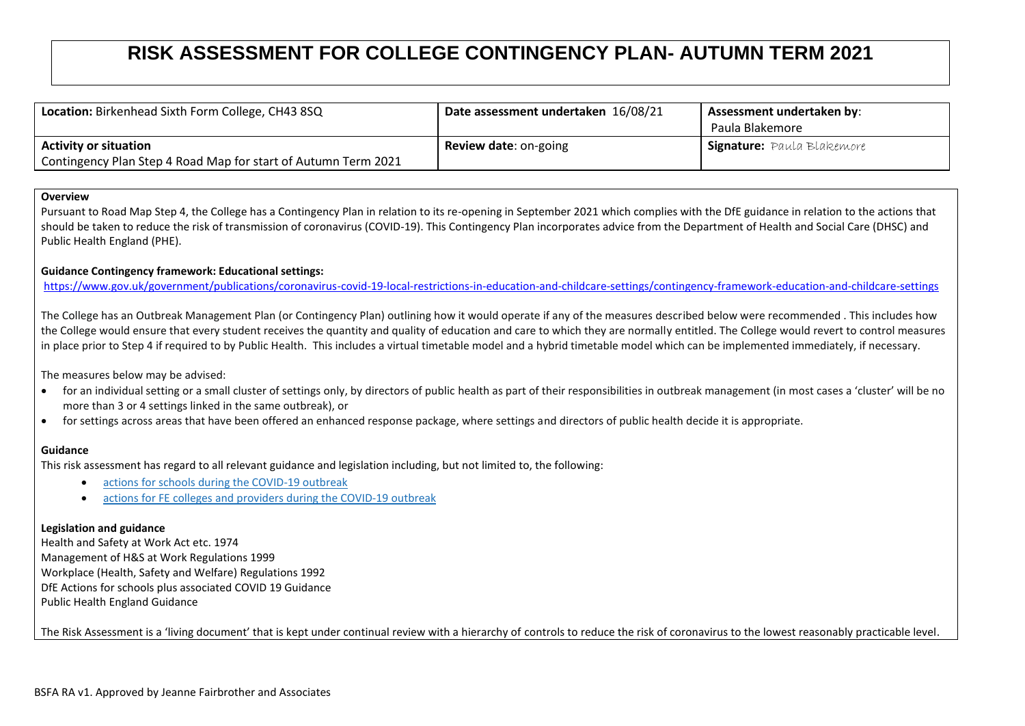# **RISK ASSESSMENT FOR COLLEGE CONTINGENCY PLAN- AUTUMN TERM 2021**

| Location: Birkenhead Sixth Form College, CH43 8SQ                                              | Date assessment undertaken 16/08/21 | Assessment undertaken by:<br>Paula Blakemore |
|------------------------------------------------------------------------------------------------|-------------------------------------|----------------------------------------------|
| <b>Activity or situation</b><br>Contingency Plan Step 4 Road Map for start of Autumn Term 2021 | <b>Review date: on-going</b>        | <b>Signature:</b> Paula Blakemore            |

#### **Overview**

Pursuant to Road Map Step 4, the College has a Contingency Plan in relation to its re-opening in September 2021 which complies with the DfE guidance in relation to the actions that should be taken to reduce the risk of transmission of coronavirus (COVID-19). This Contingency Plan incorporates advice from the Department of Health and Social Care (DHSC) and Public Health England (PHE).

### **Guidance Contingency framework: Educational settings:**

<https://www.gov.uk/government/publications/coronavirus-covid-19-local-restrictions-in-education-and-childcare-settings/contingency-framework-education-and-childcare-settings>

The College has an Outbreak Management Plan (or Contingency Plan) outlining how it would operate if any of the measures described below were recommended . This includes how the College would ensure that every student receives the quantity and quality of education and care to which they are normally entitled. The College would revert to control measures in place prior to Step 4 if required to by Public Health. This includes a virtual timetable model and a hybrid timetable model which can be implemented immediately, if necessary.

The measures below may be advised:

- for an individual setting or a small cluster of settings only, by directors of public health as part of their responsibilities in outbreak management (in most cases a 'cluster' will be no more than 3 or 4 settings linked in the same outbreak), or
- for settings across areas that have been offered an enhanced response package, where settings and directors of public health decide it is appropriate.

# **Guidance**

This risk assessment has regard to all relevant guidance and legislation including, but not limited to, the following:

- actions for schools during the [COVID-19](https://www.gov.uk/government/publications/actions-for-schools-during-the-coronavirus-outbreak/guidance-for-full-opening-schools) outbreak
- actions for FE colleges and providers during the [COVID-19](https://www.gov.uk/government/publications/coronavirus-covid-19-maintaining-further-education-provision/what-fe-colleges-and-providers-will-need-to-do-from-the-start-of-the-2020-autumn-term) outbreak

# **Legislation and guidance**

Health and Safety at Work Act etc. 1974 Management of H&S at Work Regulations 1999 Workplace (Health, Safety and Welfare) Regulations 1992 DfE Actions for schools plus associated COVID 19 Guidance Public Health England Guidance

The Risk Assessment is a 'living document' that is kept under continual review with a hierarchy of controls to reduce the risk of coronavirus to the lowest reasonably practicable level.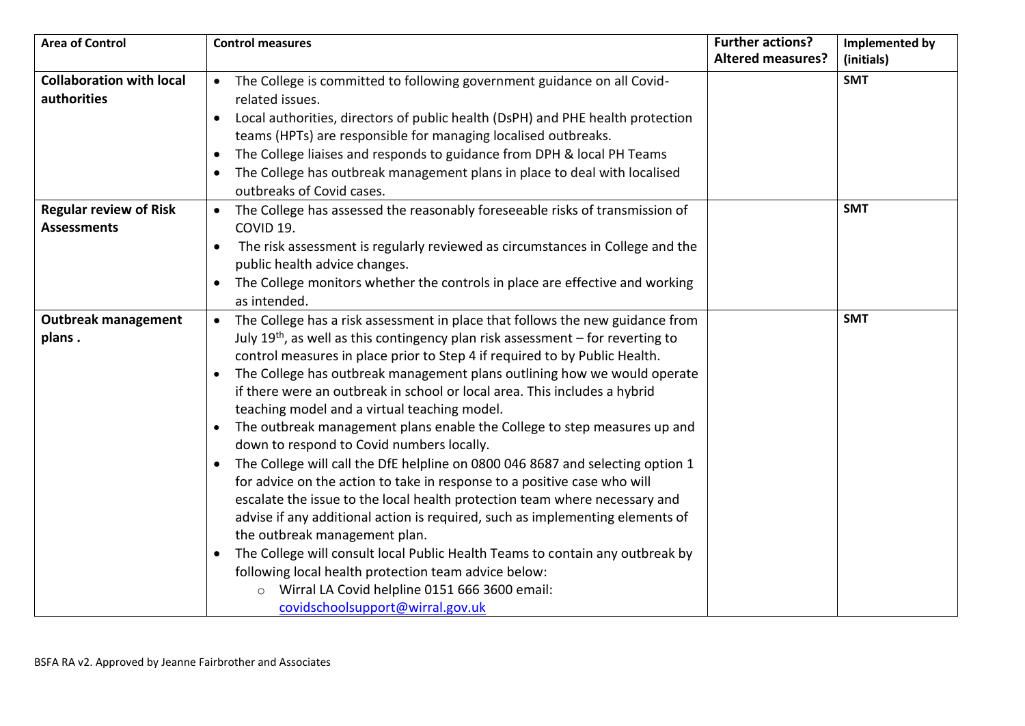| <b>Area of Control</b>          | <b>Control measures</b>                                                                     | <b>Further actions?</b>  | Implemented by |
|---------------------------------|---------------------------------------------------------------------------------------------|--------------------------|----------------|
|                                 |                                                                                             | <b>Altered measures?</b> | (initials)     |
| <b>Collaboration with local</b> | • The College is committed to following government guidance on all Covid-                   |                          | <b>SMT</b>     |
| authorities                     | related issues.                                                                             |                          |                |
|                                 | Local authorities, directors of public health (DsPH) and PHE health protection              |                          |                |
|                                 | teams (HPTs) are responsible for managing localised outbreaks.                              |                          |                |
|                                 | The College liaises and responds to guidance from DPH & local PH Teams<br>$\bullet$         |                          |                |
|                                 | The College has outbreak management plans in place to deal with localised                   |                          |                |
|                                 | outbreaks of Covid cases.                                                                   |                          |                |
| <b>Regular review of Risk</b>   | • The College has assessed the reasonably foreseeable risks of transmission of              |                          | <b>SMT</b>     |
| <b>Assessments</b>              | COVID 19.                                                                                   |                          |                |
|                                 | The risk assessment is regularly reviewed as circumstances in College and the<br>$\bullet$  |                          |                |
|                                 | public health advice changes.                                                               |                          |                |
|                                 | The College monitors whether the controls in place are effective and working                |                          |                |
|                                 | as intended.                                                                                |                          |                |
| <b>Outbreak management</b>      | The College has a risk assessment in place that follows the new guidance from<br>$\bullet$  |                          | <b>SMT</b>     |
| plans.                          | July $19th$ , as well as this contingency plan risk assessment – for reverting to           |                          |                |
|                                 | control measures in place prior to Step 4 if required to by Public Health.                  |                          |                |
|                                 | The College has outbreak management plans outlining how we would operate                    |                          |                |
|                                 | if there were an outbreak in school or local area. This includes a hybrid                   |                          |                |
|                                 | teaching model and a virtual teaching model.                                                |                          |                |
|                                 | The outbreak management plans enable the College to step measures up and                    |                          |                |
|                                 | down to respond to Covid numbers locally.                                                   |                          |                |
|                                 | The College will call the DfE helpline on 0800 046 8687 and selecting option 1<br>$\bullet$ |                          |                |
|                                 | for advice on the action to take in response to a positive case who will                    |                          |                |
|                                 | escalate the issue to the local health protection team where necessary and                  |                          |                |
|                                 | advise if any additional action is required, such as implementing elements of               |                          |                |
|                                 | the outbreak management plan.                                                               |                          |                |
|                                 | The College will consult local Public Health Teams to contain any outbreak by               |                          |                |
|                                 | following local health protection team advice below:                                        |                          |                |
|                                 | Wirral LA Covid helpline 0151 666 3600 email:                                               |                          |                |
|                                 | covidschoolsupport@wirral.gov.uk                                                            |                          |                |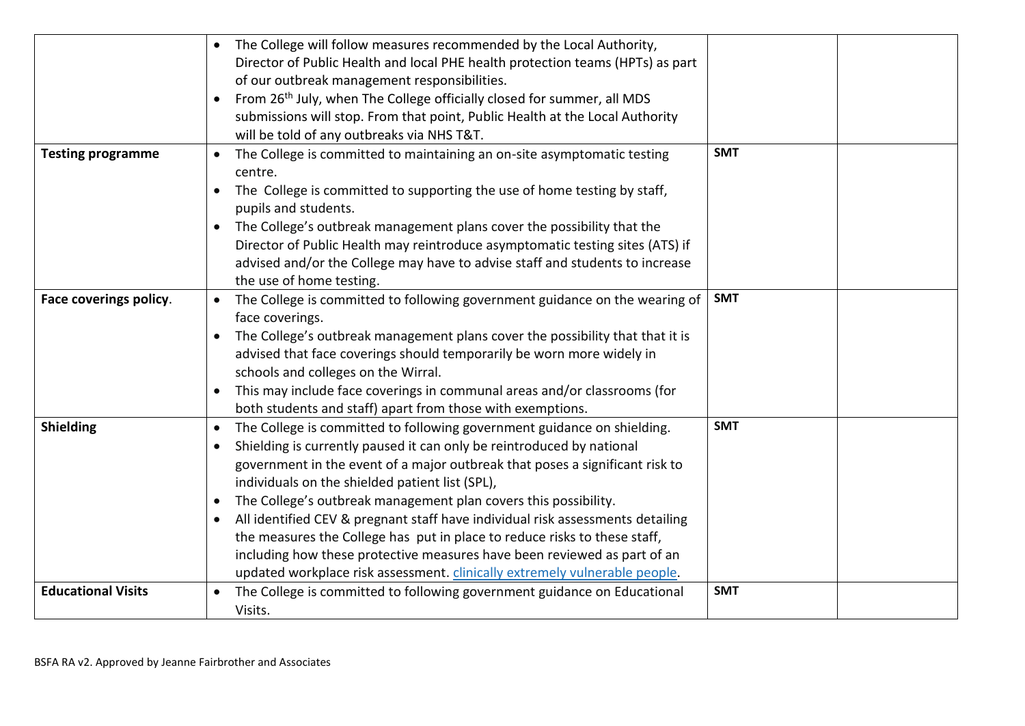|                           | The College will follow measures recommended by the Local Authority,                                          |            |  |
|---------------------------|---------------------------------------------------------------------------------------------------------------|------------|--|
|                           | Director of Public Health and local PHE health protection teams (HPTs) as part                                |            |  |
|                           | of our outbreak management responsibilities.                                                                  |            |  |
|                           | From 26th July, when The College officially closed for summer, all MDS                                        |            |  |
|                           | submissions will stop. From that point, Public Health at the Local Authority                                  |            |  |
|                           | will be told of any outbreaks via NHS T&T.                                                                    |            |  |
| <b>Testing programme</b>  | The College is committed to maintaining an on-site asymptomatic testing<br>$\bullet$<br>centre.               | <b>SMT</b> |  |
|                           | The College is committed to supporting the use of home testing by staff,<br>$\bullet$<br>pupils and students. |            |  |
|                           | The College's outbreak management plans cover the possibility that the                                        |            |  |
|                           | Director of Public Health may reintroduce asymptomatic testing sites (ATS) if                                 |            |  |
|                           | advised and/or the College may have to advise staff and students to increase                                  |            |  |
|                           | the use of home testing.                                                                                      |            |  |
| Face coverings policy.    | The College is committed to following government guidance on the wearing of<br>$\bullet$                      | <b>SMT</b> |  |
|                           | face coverings.                                                                                               |            |  |
|                           | The College's outbreak management plans cover the possibility that that it is                                 |            |  |
|                           | advised that face coverings should temporarily be worn more widely in                                         |            |  |
|                           | schools and colleges on the Wirral.                                                                           |            |  |
|                           | This may include face coverings in communal areas and/or classrooms (for<br>$\bullet$                         |            |  |
|                           | both students and staff) apart from those with exemptions.                                                    |            |  |
| <b>Shielding</b>          | The College is committed to following government guidance on shielding.<br>$\bullet$                          | <b>SMT</b> |  |
|                           | Shielding is currently paused it can only be reintroduced by national                                         |            |  |
|                           | government in the event of a major outbreak that poses a significant risk to                                  |            |  |
|                           | individuals on the shielded patient list (SPL),                                                               |            |  |
|                           | The College's outbreak management plan covers this possibility.                                               |            |  |
|                           | All identified CEV & pregnant staff have individual risk assessments detailing                                |            |  |
|                           | the measures the College has put in place to reduce risks to these staff,                                     |            |  |
|                           | including how these protective measures have been reviewed as part of an                                      |            |  |
|                           | updated workplace risk assessment. clinically extremely vulnerable people.                                    |            |  |
| <b>Educational Visits</b> | The College is committed to following government guidance on Educational                                      | <b>SMT</b> |  |
|                           | Visits.                                                                                                       |            |  |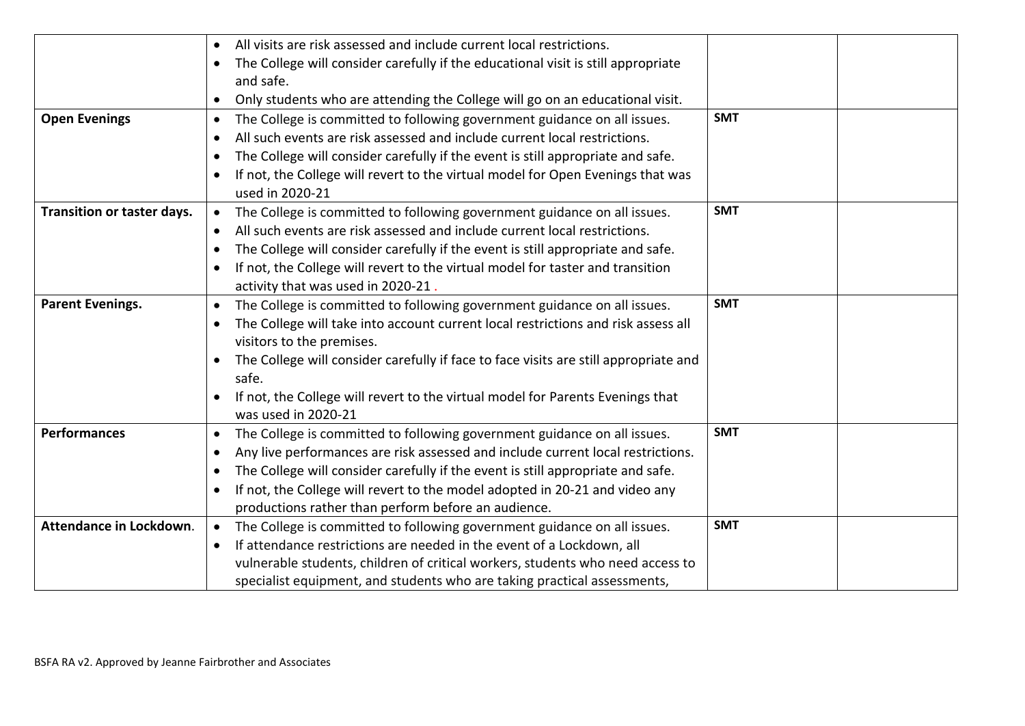|                            | All visits are risk assessed and include current local restrictions.                  |            |
|----------------------------|---------------------------------------------------------------------------------------|------------|
|                            | The College will consider carefully if the educational visit is still appropriate     |            |
|                            | and safe.                                                                             |            |
|                            | Only students who are attending the College will go on an educational visit.          |            |
| <b>Open Evenings</b>       | The College is committed to following government guidance on all issues.              | <b>SMT</b> |
|                            | All such events are risk assessed and include current local restrictions.             |            |
|                            | The College will consider carefully if the event is still appropriate and safe.       |            |
|                            | If not, the College will revert to the virtual model for Open Evenings that was       |            |
|                            | used in 2020-21                                                                       |            |
| Transition or taster days. | The College is committed to following government guidance on all issues.<br>$\bullet$ | <b>SMT</b> |
|                            | All such events are risk assessed and include current local restrictions.             |            |
|                            | The College will consider carefully if the event is still appropriate and safe.       |            |
|                            | If not, the College will revert to the virtual model for taster and transition        |            |
|                            | activity that was used in 2020-21                                                     |            |
| <b>Parent Evenings.</b>    | The College is committed to following government guidance on all issues.<br>$\bullet$ | <b>SMT</b> |
|                            | The College will take into account current local restrictions and risk assess all     |            |
|                            | visitors to the premises.                                                             |            |
|                            | The College will consider carefully if face to face visits are still appropriate and  |            |
|                            | safe.                                                                                 |            |
|                            | If not, the College will revert to the virtual model for Parents Evenings that        |            |
|                            | was used in 2020-21                                                                   |            |
| <b>Performances</b>        | The College is committed to following government guidance on all issues.<br>$\bullet$ | <b>SMT</b> |
|                            | Any live performances are risk assessed and include current local restrictions.       |            |
|                            | The College will consider carefully if the event is still appropriate and safe.       |            |
|                            | If not, the College will revert to the model adopted in 20-21 and video any           |            |
|                            | productions rather than perform before an audience.                                   |            |
| Attendance in Lockdown.    | The College is committed to following government guidance on all issues.<br>$\bullet$ | <b>SMT</b> |
|                            | If attendance restrictions are needed in the event of a Lockdown, all                 |            |
|                            | vulnerable students, children of critical workers, students who need access to        |            |
|                            | specialist equipment, and students who are taking practical assessments,              |            |